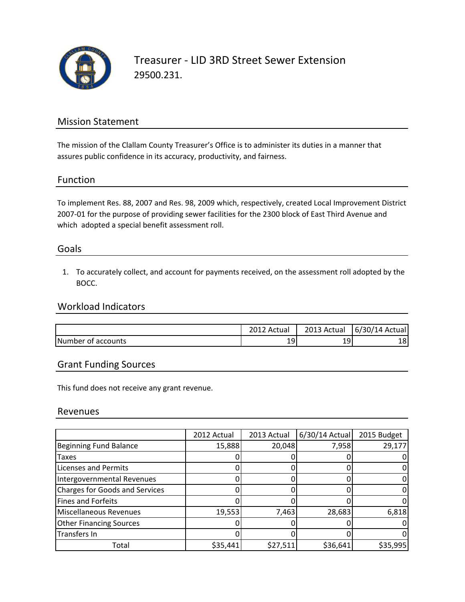

## Mission Statement

The mission of the Clallam County Treasurer's Office is to administer its duties in a manner that assures public confidence in its accuracy, productivity, and fairness.

#### Function

To implement Res. 88, 2007 and Res. 98, 2009 which, respectively, created Local Improvement District 2007-01 for the purpose of providing sewer facilities for the 2300 block of East Third Avenue and which adopted a special benefit assessment roll.

#### Goals

1. To accurately collect, and account for payments received, on the assessment roll adopted by the BOCC.

## Workload Indicators

|                    | 2012<br>-12 Actual | 2013 Actual | 6/30/14 Actual |
|--------------------|--------------------|-------------|----------------|
| Number of accounts | 19                 | 191         | 181            |

## Grant Funding Sources

This fund does not receive any grant revenue.

#### Revenues

|                                       | 2012 Actual | 2013 Actual | 6/30/14 Actual | 2015 Budget |
|---------------------------------------|-------------|-------------|----------------|-------------|
| <b>Beginning Fund Balance</b>         | 15,888      | 20,048      | 7,958          | 29,177      |
| <b>Taxes</b>                          |             |             |                |             |
| <b>Licenses and Permits</b>           |             |             |                |             |
| Intergovernmental Revenues            |             |             |                |             |
| <b>Charges for Goods and Services</b> |             |             |                |             |
| <b>Fines and Forfeits</b>             |             |             |                |             |
| Miscellaneous Revenues                | 19,553      | 7,463       | 28,683         | 6,818       |
| <b>Other Financing Sources</b>        |             |             |                |             |
| Transfers In                          |             |             |                |             |
| Total                                 | \$35,441    | \$27,511    | \$36,641       | \$35,995    |